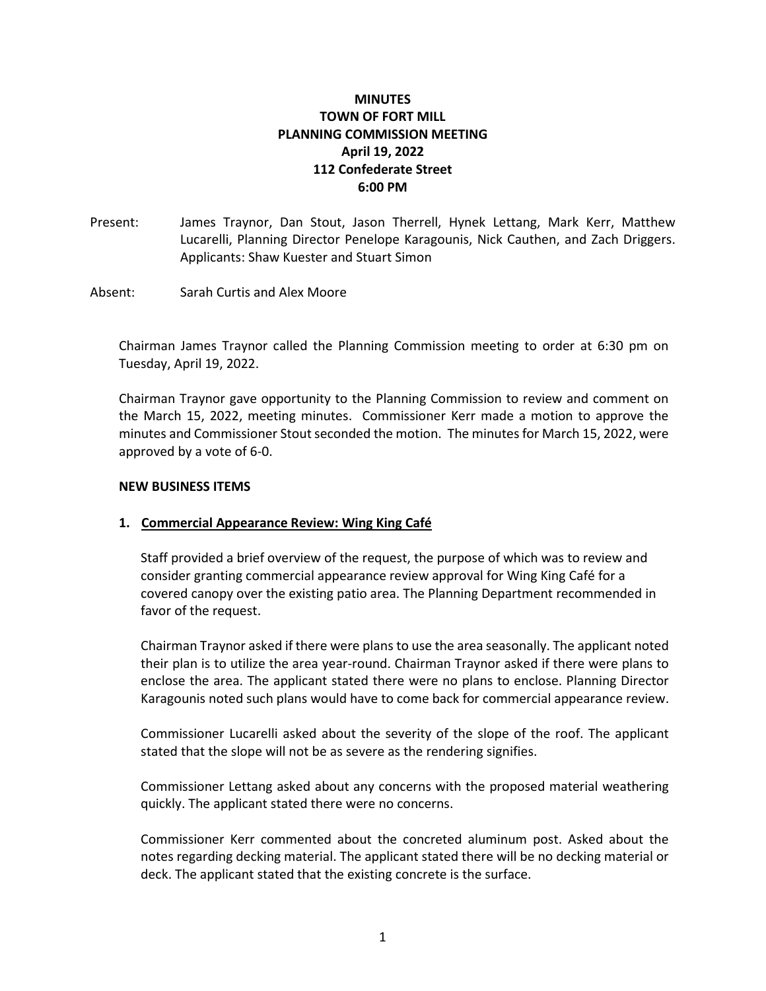# **MINUTES TOWN OF FORT MILL PLANNING COMMISSION MEETING April 19, 2022 112 Confederate Street 6:00 PM**

- Present: James Traynor, Dan Stout, Jason Therrell, Hynek Lettang, Mark Kerr, Matthew Lucarelli, Planning Director Penelope Karagounis, Nick Cauthen, and Zach Driggers. Applicants: Shaw Kuester and Stuart Simon
- Absent: Sarah Curtis and Alex Moore

Chairman James Traynor called the Planning Commission meeting to order at 6:30 pm on Tuesday, April 19, 2022.

Chairman Traynor gave opportunity to the Planning Commission to review and comment on the March 15, 2022, meeting minutes. Commissioner Kerr made a motion to approve the minutes and Commissioner Stout seconded the motion. The minutes for March 15, 2022, were approved by a vote of 6-0.

#### **NEW BUSINESS ITEMS**

#### **1. Commercial Appearance Review: Wing King Café**

Staff provided a brief overview of the request, the purpose of which was to review and consider granting commercial appearance review approval for Wing King Café for a covered canopy over the existing patio area. The Planning Department recommended in favor of the request.

Chairman Traynor asked if there were plans to use the area seasonally. The applicant noted their plan is to utilize the area year-round. Chairman Traynor asked if there were plans to enclose the area. The applicant stated there were no plans to enclose. Planning Director Karagounis noted such plans would have to come back for commercial appearance review.

Commissioner Lucarelli asked about the severity of the slope of the roof. The applicant stated that the slope will not be as severe as the rendering signifies.

Commissioner Lettang asked about any concerns with the proposed material weathering quickly. The applicant stated there were no concerns.

Commissioner Kerr commented about the concreted aluminum post. Asked about the notes regarding decking material. The applicant stated there will be no decking material or deck. The applicant stated that the existing concrete is the surface.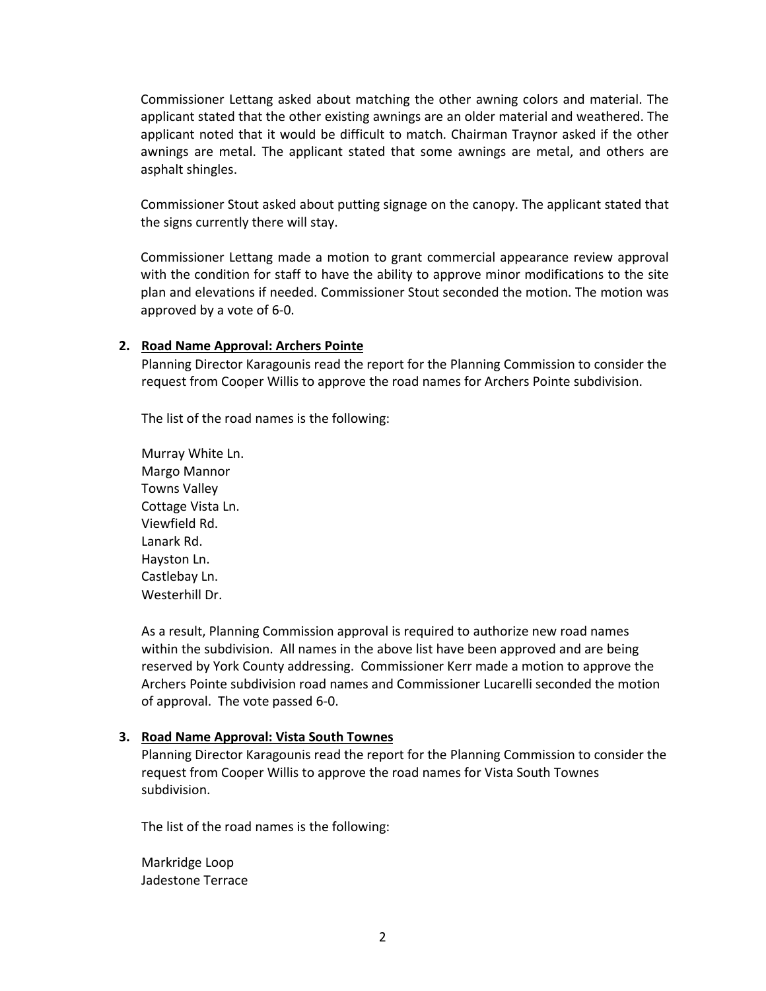Commissioner Lettang asked about matching the other awning colors and material. The applicant stated that the other existing awnings are an older material and weathered. The applicant noted that it would be difficult to match. Chairman Traynor asked if the other awnings are metal. The applicant stated that some awnings are metal, and others are asphalt shingles.

Commissioner Stout asked about putting signage on the canopy. The applicant stated that the signs currently there will stay.

Commissioner Lettang made a motion to grant commercial appearance review approval with the condition for staff to have the ability to approve minor modifications to the site plan and elevations if needed. Commissioner Stout seconded the motion. The motion was approved by a vote of 6-0.

### **2. Road Name Approval: Archers Pointe**

Planning Director Karagounis read the report for the Planning Commission to consider the request from Cooper Willis to approve the road names for Archers Pointe subdivision.

The list of the road names is the following:

Murray White Ln. Margo Mannor Towns Valley Cottage Vista Ln. Viewfield Rd. Lanark Rd. Hayston Ln. Castlebay Ln. Westerhill Dr.

As a result, Planning Commission approval is required to authorize new road names within the subdivision. All names in the above list have been approved and are being reserved by York County addressing. Commissioner Kerr made a motion to approve the Archers Pointe subdivision road names and Commissioner Lucarelli seconded the motion of approval. The vote passed 6-0.

## **3. Road Name Approval: Vista South Townes**

Planning Director Karagounis read the report for the Planning Commission to consider the request from Cooper Willis to approve the road names for Vista South Townes subdivision.

The list of the road names is the following:

Markridge Loop Jadestone Terrace